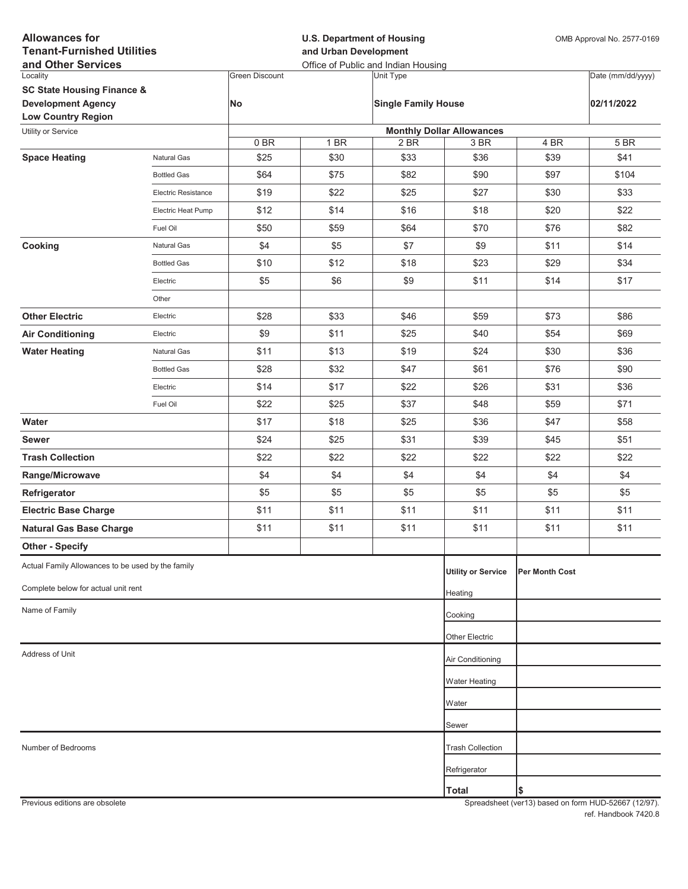| <b>Allowances for</b><br><b>Tenant-Furnished Utilities</b><br>and Other Services |                     |                       | <b>U.S. Department of Housing</b><br>and Urban Development<br>Office of Public and Indian Housing |                            |                                          |                | OMB Approval No. 2577-0169 |  |
|----------------------------------------------------------------------------------|---------------------|-----------------------|---------------------------------------------------------------------------------------------------|----------------------------|------------------------------------------|----------------|----------------------------|--|
| Locality                                                                         |                     | <b>Green Discount</b> |                                                                                                   | Unit Type                  |                                          |                | Date (mm/dd/yyyy)          |  |
| <b>SC State Housing Finance &amp;</b>                                            |                     |                       |                                                                                                   |                            |                                          |                |                            |  |
| <b>Development Agency</b>                                                        |                     | No                    |                                                                                                   | <b>Single Family House</b> |                                          |                | 02/11/2022                 |  |
| <b>Low Country Region</b>                                                        |                     |                       |                                                                                                   |                            |                                          |                |                            |  |
| Utility or Service                                                               |                     | 0BR                   | 1 BR                                                                                              | 2 BR                       | <b>Monthly Dollar Allowances</b><br>3 BR | 4 BR           | 5 BR                       |  |
| <b>Space Heating</b>                                                             | <b>Natural Gas</b>  | \$25                  | \$30                                                                                              | \$33                       | \$36                                     | \$39           | \$41                       |  |
|                                                                                  | <b>Bottled Gas</b>  | \$64                  | \$75                                                                                              | \$82                       | \$90                                     | \$97           | \$104                      |  |
|                                                                                  | Electric Resistance | \$19                  | \$22                                                                                              | \$25                       | \$27                                     | \$30           | \$33                       |  |
|                                                                                  | Electric Heat Pump  | \$12                  | \$14                                                                                              | \$16                       | \$18                                     | \$20           | \$22                       |  |
|                                                                                  | Fuel Oil            | \$50                  | \$59                                                                                              | \$64                       | \$70                                     | \$76           | \$82                       |  |
| Cooking                                                                          | Natural Gas         | \$4                   | \$5                                                                                               | \$7                        | \$9                                      | \$11           | \$14                       |  |
|                                                                                  | <b>Bottled Gas</b>  | \$10                  | \$12                                                                                              | \$18                       | \$23                                     | \$29           | \$34                       |  |
|                                                                                  | Electric            | \$5                   | \$6                                                                                               | \$9                        | \$11                                     | \$14           | \$17                       |  |
|                                                                                  | Other               |                       |                                                                                                   |                            |                                          |                |                            |  |
| <b>Other Electric</b>                                                            | Electric            | \$28                  | \$33                                                                                              | \$46                       | \$59                                     | \$73           | \$86                       |  |
| <b>Air Conditioning</b>                                                          | Electric            | \$9                   | \$11                                                                                              | \$25                       | \$40                                     | \$54           | \$69                       |  |
| <b>Water Heating</b>                                                             | Natural Gas         | \$11                  | \$13                                                                                              | \$19                       | \$24                                     | \$30           | \$36                       |  |
|                                                                                  | <b>Bottled Gas</b>  | \$28                  | \$32                                                                                              | \$47                       | \$61                                     | \$76           | \$90                       |  |
|                                                                                  | Electric            | \$14                  | \$17                                                                                              | \$22                       | \$26                                     | \$31           | \$36                       |  |
|                                                                                  | Fuel Oil            | \$22                  | \$25                                                                                              | \$37                       | \$48                                     | \$59           | \$71                       |  |
| Water                                                                            |                     | \$17                  | \$18                                                                                              | \$25                       | \$36                                     | \$47           | \$58                       |  |
| <b>Sewer</b>                                                                     |                     | \$24                  | \$25                                                                                              | \$31                       | \$39                                     | \$45           | \$51                       |  |
| <b>Trash Collection</b>                                                          |                     | \$22                  | \$22                                                                                              | \$22                       | \$22                                     | \$22           | \$22                       |  |
| Range/Microwave                                                                  |                     | \$4                   | \$4                                                                                               | \$4                        | \$4                                      | \$4            | \$4                        |  |
| Refrigerator                                                                     |                     | \$5                   | \$5                                                                                               | \$5                        | \$5                                      | \$5            | \$5                        |  |
| <b>Electric Base Charge</b>                                                      |                     | \$11                  | \$11                                                                                              | \$11                       | \$11                                     | \$11           | \$11                       |  |
| <b>Natural Gas Base Charge</b>                                                   |                     | \$11                  | \$11                                                                                              | \$11                       | \$11                                     | \$11           | \$11                       |  |
| <b>Other - Specify</b>                                                           |                     |                       |                                                                                                   |                            |                                          |                |                            |  |
| Actual Family Allowances to be used by the family                                |                     |                       |                                                                                                   |                            | <b>Utility or Service</b>                | Per Month Cost |                            |  |
| Complete below for actual unit rent                                              |                     |                       |                                                                                                   |                            | Heating                                  |                |                            |  |
| Name of Family                                                                   |                     |                       |                                                                                                   |                            | Cooking                                  |                |                            |  |
|                                                                                  |                     |                       |                                                                                                   |                            | <b>Other Electric</b>                    |                |                            |  |
| Address of Unit                                                                  |                     |                       |                                                                                                   |                            | Air Conditioning                         |                |                            |  |
|                                                                                  |                     |                       |                                                                                                   |                            | <b>Water Heating</b>                     |                |                            |  |
|                                                                                  |                     |                       |                                                                                                   |                            | Water                                    |                |                            |  |
|                                                                                  |                     |                       |                                                                                                   |                            |                                          |                |                            |  |
| Number of Bedrooms                                                               |                     |                       |                                                                                                   |                            | Sewer                                    |                |                            |  |
|                                                                                  |                     |                       |                                                                                                   |                            | <b>Trash Collection</b>                  |                |                            |  |
|                                                                                  |                     |                       |                                                                                                   |                            | Refrigerator                             |                |                            |  |
|                                                                                  |                     |                       |                                                                                                   |                            | <b>Total</b>                             | \$             |                            |  |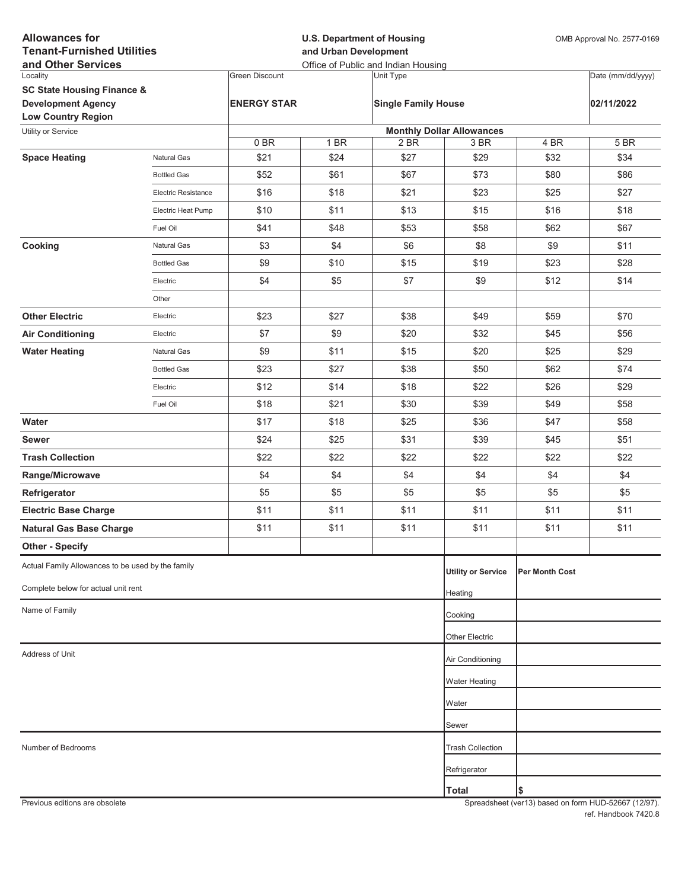| <b>Allowances for</b><br><b>Tenant-Furnished Utilities</b><br>and Other Services |                            |                       | <b>U.S. Department of Housing</b><br>and Urban Development<br>Office of Public and Indian Housing |                            |                                                     |                       | OMB Approval No. 2577-0169 |  |
|----------------------------------------------------------------------------------|----------------------------|-----------------------|---------------------------------------------------------------------------------------------------|----------------------------|-----------------------------------------------------|-----------------------|----------------------------|--|
| Locality                                                                         |                            | <b>Green Discount</b> |                                                                                                   | Unit Type                  |                                                     |                       | Date (mm/dd/yyyy)          |  |
| <b>SC State Housing Finance &amp;</b>                                            |                            |                       |                                                                                                   |                            |                                                     |                       |                            |  |
| <b>Development Agency</b>                                                        |                            | <b>ENERGY STAR</b>    |                                                                                                   | <b>Single Family House</b> |                                                     |                       | 02/11/2022                 |  |
| <b>Low Country Region</b>                                                        |                            |                       |                                                                                                   |                            |                                                     |                       |                            |  |
| Utility or Service                                                               |                            |                       |                                                                                                   |                            | <b>Monthly Dollar Allowances</b><br>3 <sub>BR</sub> |                       |                            |  |
| <b>Space Heating</b>                                                             | <b>Natural Gas</b>         | 0BR<br>\$21           | 1 BR<br>\$24                                                                                      | 2 BR<br>\$27               | \$29                                                | 4 BR<br>\$32          | 5 BR<br>\$34               |  |
|                                                                                  | <b>Bottled Gas</b>         | \$52                  | \$61                                                                                              | \$67                       | \$73                                                | \$80                  | \$86                       |  |
|                                                                                  | <b>Electric Resistance</b> | \$16                  | \$18                                                                                              | \$21                       | \$23                                                | \$25                  | \$27                       |  |
|                                                                                  | Electric Heat Pump         | \$10                  | \$11                                                                                              | \$13                       | \$15                                                | \$16                  | \$18                       |  |
|                                                                                  | Fuel Oil                   | \$41                  | \$48                                                                                              | \$53                       | \$58                                                | \$62                  | \$67                       |  |
| Cooking                                                                          | <b>Natural Gas</b>         | \$3                   | \$4                                                                                               | \$6                        | \$8                                                 | \$9                   | \$11                       |  |
|                                                                                  | <b>Bottled Gas</b>         | \$9                   | \$10                                                                                              | \$15                       | \$19                                                | \$23                  | \$28                       |  |
|                                                                                  | Electric                   | \$4                   | \$5                                                                                               | \$7                        | \$9                                                 | \$12                  | \$14                       |  |
|                                                                                  | Other                      |                       |                                                                                                   |                            |                                                     |                       |                            |  |
| <b>Other Electric</b>                                                            | Electric                   | \$23                  | \$27                                                                                              | \$38                       | \$49                                                | \$59                  | \$70                       |  |
| <b>Air Conditioning</b>                                                          | Electric                   | \$7                   | \$9                                                                                               | \$20                       | \$32                                                | \$45                  | \$56                       |  |
| <b>Water Heating</b>                                                             | Natural Gas                | \$9                   | \$11                                                                                              | \$15                       | \$20                                                | \$25                  | \$29                       |  |
|                                                                                  | <b>Bottled Gas</b>         | \$23                  | \$27                                                                                              | \$38                       | \$50                                                | \$62                  | \$74                       |  |
|                                                                                  | Electric                   | \$12                  | \$14                                                                                              | \$18                       | \$22                                                | \$26                  | \$29                       |  |
|                                                                                  | Fuel Oil                   | \$18                  | \$21                                                                                              | \$30                       | \$39                                                | \$49                  | \$58                       |  |
| Water                                                                            |                            | \$17                  | \$18                                                                                              | \$25                       | \$36                                                | \$47                  | \$58                       |  |
| <b>Sewer</b>                                                                     |                            | \$24                  | \$25                                                                                              | \$31                       | \$39                                                | \$45                  | \$51                       |  |
| <b>Trash Collection</b>                                                          |                            | \$22                  | \$22                                                                                              | \$22                       | \$22                                                | \$22                  | \$22                       |  |
| Range/Microwave                                                                  |                            | \$4                   | \$4                                                                                               | \$4                        | \$4                                                 | \$4                   | \$4                        |  |
| Refrigerator                                                                     |                            | \$5                   | \$5                                                                                               | \$5                        | \$5                                                 | \$5                   | \$5                        |  |
| <b>Electric Base Charge</b>                                                      |                            | \$11                  | \$11                                                                                              | \$11                       | \$11                                                | \$11                  | \$11                       |  |
| <b>Natural Gas Base Charge</b>                                                   |                            | \$11                  | \$11                                                                                              | \$11                       | \$11                                                | \$11                  | \$11                       |  |
| <b>Other - Specify</b>                                                           |                            |                       |                                                                                                   |                            |                                                     |                       |                            |  |
| Actual Family Allowances to be used by the family                                |                            |                       |                                                                                                   |                            | <b>Utility or Service</b>                           | <b>Per Month Cost</b> |                            |  |
| Complete below for actual unit rent                                              |                            |                       |                                                                                                   |                            | Heating                                             |                       |                            |  |
| Name of Family                                                                   |                            |                       |                                                                                                   |                            | Cooking                                             |                       |                            |  |
|                                                                                  |                            |                       |                                                                                                   |                            | Other Electric                                      |                       |                            |  |
| Address of Unit                                                                  |                            |                       |                                                                                                   |                            |                                                     |                       |                            |  |
|                                                                                  |                            |                       |                                                                                                   |                            | Air Conditioning                                    |                       |                            |  |
|                                                                                  |                            |                       |                                                                                                   |                            | <b>Water Heating</b>                                |                       |                            |  |
|                                                                                  |                            |                       |                                                                                                   |                            | Water                                               |                       |                            |  |
|                                                                                  |                            |                       |                                                                                                   |                            | Sewer                                               |                       |                            |  |
| Number of Bedrooms                                                               |                            |                       |                                                                                                   |                            | <b>Trash Collection</b>                             |                       |                            |  |
|                                                                                  |                            |                       |                                                                                                   |                            | Refrigerator                                        |                       |                            |  |
|                                                                                  |                            |                       |                                                                                                   |                            | <b>Total</b>                                        | \$                    |                            |  |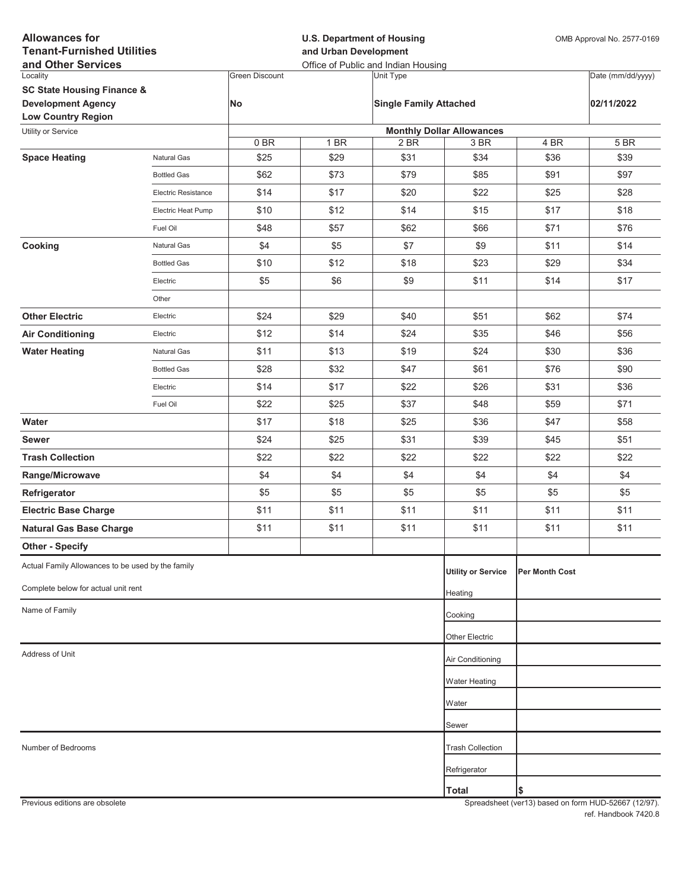| <b>Allowances for</b><br><b>Tenant-Furnished Utilities</b><br>and Other Services |                     |                       | <b>U.S. Department of Housing</b><br>and Urban Development<br>Office of Public and Indian Housing |                               |                                          |                | OMB Approval No. 2577-0169 |  |
|----------------------------------------------------------------------------------|---------------------|-----------------------|---------------------------------------------------------------------------------------------------|-------------------------------|------------------------------------------|----------------|----------------------------|--|
| Locality                                                                         |                     | <b>Green Discount</b> |                                                                                                   | Unit Type                     |                                          |                | Date (mm/dd/yyyy)          |  |
| <b>SC State Housing Finance &amp;</b>                                            |                     |                       |                                                                                                   |                               |                                          |                |                            |  |
| <b>Development Agency</b>                                                        |                     | No                    |                                                                                                   | <b>Single Family Attached</b> |                                          |                | 02/11/2022                 |  |
| <b>Low Country Region</b>                                                        |                     |                       |                                                                                                   |                               |                                          |                |                            |  |
| Utility or Service                                                               |                     | 0BR                   | 1 BR                                                                                              | 2 BR                          | <b>Monthly Dollar Allowances</b><br>3 BR | 4 BR           | 5 BR                       |  |
| <b>Space Heating</b>                                                             | Natural Gas         | \$25                  | \$29                                                                                              | \$31                          | \$34                                     | \$36           | \$39                       |  |
|                                                                                  | <b>Bottled Gas</b>  | \$62                  | \$73                                                                                              | \$79                          | \$85                                     | \$91           | \$97                       |  |
|                                                                                  | Electric Resistance | \$14                  | \$17                                                                                              | \$20                          | \$22                                     | \$25           | \$28                       |  |
|                                                                                  | Electric Heat Pump  | \$10                  | \$12                                                                                              | \$14                          | \$15                                     | \$17           | \$18                       |  |
|                                                                                  | Fuel Oil            | \$48                  | \$57                                                                                              | \$62                          | \$66                                     | \$71           | \$76                       |  |
| Cooking                                                                          | Natural Gas         | \$4                   | \$5                                                                                               | \$7                           | \$9                                      | \$11           | \$14                       |  |
|                                                                                  | <b>Bottled Gas</b>  | \$10                  | \$12                                                                                              | \$18                          | \$23                                     | \$29           | \$34                       |  |
|                                                                                  | Electric            | \$5                   | \$6                                                                                               | \$9                           | \$11                                     | \$14           | \$17                       |  |
|                                                                                  | Other               |                       |                                                                                                   |                               |                                          |                |                            |  |
| <b>Other Electric</b>                                                            | Electric            | \$24                  | \$29                                                                                              | \$40                          | \$51                                     | \$62           | \$74                       |  |
| <b>Air Conditioning</b>                                                          | Electric            | \$12                  | \$14                                                                                              | \$24                          | \$35                                     | \$46           | \$56                       |  |
| <b>Water Heating</b>                                                             | Natural Gas         | \$11                  | \$13                                                                                              | \$19                          | \$24                                     | \$30           | \$36                       |  |
|                                                                                  | <b>Bottled Gas</b>  | \$28                  | \$32                                                                                              | \$47                          | \$61                                     | \$76           | \$90                       |  |
|                                                                                  | Electric            | \$14                  | \$17                                                                                              | \$22                          | \$26                                     | \$31           | \$36                       |  |
|                                                                                  | Fuel Oil            | \$22                  | \$25                                                                                              | \$37                          | \$48                                     | \$59           | \$71                       |  |
| Water                                                                            |                     | \$17                  | \$18                                                                                              | \$25                          | \$36                                     | \$47           | \$58                       |  |
| <b>Sewer</b>                                                                     |                     | \$24                  | \$25                                                                                              | \$31                          | \$39                                     | \$45           | \$51                       |  |
| <b>Trash Collection</b>                                                          |                     | \$22                  | \$22                                                                                              | \$22                          | \$22                                     | \$22           | \$22                       |  |
| Range/Microwave                                                                  |                     | \$4                   | \$4                                                                                               | \$4                           | \$4                                      | \$4            | \$4                        |  |
| Refrigerator                                                                     |                     | \$5                   | \$5                                                                                               | \$5                           | \$5                                      | \$5            | \$5                        |  |
| <b>Electric Base Charge</b>                                                      |                     | \$11                  | \$11                                                                                              | \$11                          | \$11                                     | \$11           | \$11                       |  |
| <b>Natural Gas Base Charge</b>                                                   |                     | \$11                  | \$11                                                                                              | \$11                          | \$11                                     | \$11           | \$11                       |  |
| <b>Other - Specify</b>                                                           |                     |                       |                                                                                                   |                               |                                          |                |                            |  |
| Actual Family Allowances to be used by the family                                |                     |                       |                                                                                                   |                               | <b>Utility or Service</b>                | Per Month Cost |                            |  |
| Complete below for actual unit rent                                              |                     |                       |                                                                                                   |                               | Heating                                  |                |                            |  |
| Name of Family                                                                   |                     |                       |                                                                                                   |                               | Cooking                                  |                |                            |  |
|                                                                                  |                     |                       |                                                                                                   |                               | <b>Other Electric</b>                    |                |                            |  |
| Address of Unit                                                                  |                     |                       |                                                                                                   |                               | Air Conditioning                         |                |                            |  |
|                                                                                  |                     |                       |                                                                                                   |                               | <b>Water Heating</b>                     |                |                            |  |
|                                                                                  |                     |                       |                                                                                                   |                               |                                          |                |                            |  |
|                                                                                  |                     |                       |                                                                                                   |                               | Water                                    |                |                            |  |
|                                                                                  |                     |                       |                                                                                                   |                               | Sewer                                    |                |                            |  |
| Number of Bedrooms                                                               |                     |                       |                                                                                                   |                               | <b>Trash Collection</b>                  |                |                            |  |
|                                                                                  |                     |                       |                                                                                                   |                               | Refrigerator                             |                |                            |  |
|                                                                                  |                     |                       |                                                                                                   |                               | <b>Total</b>                             | \$             |                            |  |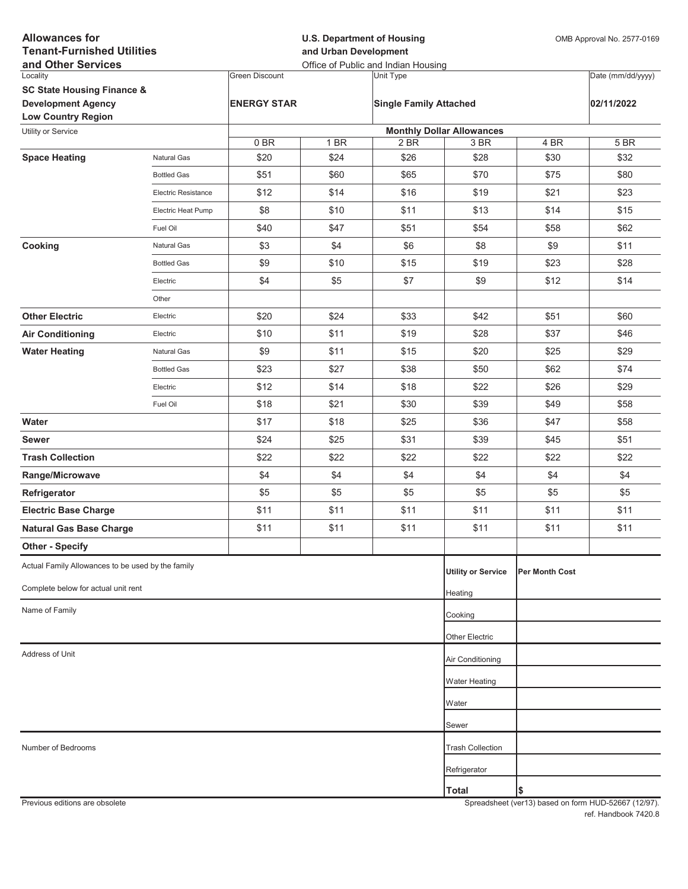| <b>Allowances for</b><br><b>Tenant-Furnished Utilities</b><br>and Other Services |                            |                       | <b>U.S. Department of Housing</b><br>and Urban Development<br>Office of Public and Indian Housing |                               |                                          |                       | OMB Approval No. 2577-0169 |  |
|----------------------------------------------------------------------------------|----------------------------|-----------------------|---------------------------------------------------------------------------------------------------|-------------------------------|------------------------------------------|-----------------------|----------------------------|--|
| Locality                                                                         |                            | <b>Green Discount</b> |                                                                                                   | Unit Type                     |                                          |                       | Date (mm/dd/yyyy)          |  |
| <b>SC State Housing Finance &amp;</b>                                            |                            |                       |                                                                                                   |                               |                                          |                       |                            |  |
| <b>Development Agency</b>                                                        |                            | <b>ENERGY STAR</b>    |                                                                                                   | <b>Single Family Attached</b> |                                          |                       | 02/11/2022                 |  |
| <b>Low Country Region</b>                                                        |                            |                       |                                                                                                   |                               |                                          |                       |                            |  |
| Utility or Service                                                               |                            | 0BR                   | 1 BR                                                                                              | 2 BR                          | <b>Monthly Dollar Allowances</b><br>3 BR | 4 BR                  | 5 BR                       |  |
| <b>Space Heating</b>                                                             | Natural Gas                | \$20                  | \$24                                                                                              | \$26                          | \$28                                     | \$30                  | \$32                       |  |
|                                                                                  | <b>Bottled Gas</b>         | \$51                  | \$60                                                                                              | \$65                          | \$70                                     | \$75                  | \$80                       |  |
|                                                                                  | <b>Electric Resistance</b> | \$12                  | \$14                                                                                              | \$16                          | \$19                                     | \$21                  | \$23                       |  |
|                                                                                  | Electric Heat Pump         | \$8                   | \$10                                                                                              | \$11                          | \$13                                     | \$14                  | \$15                       |  |
|                                                                                  | Fuel Oil                   | \$40                  | \$47                                                                                              | \$51                          | \$54                                     | \$58                  | \$62                       |  |
| Cooking                                                                          | Natural Gas                | \$3                   | \$4                                                                                               | \$6                           | \$8                                      | \$9                   | \$11                       |  |
|                                                                                  | <b>Bottled Gas</b>         | \$9                   | \$10                                                                                              | \$15                          | \$19                                     | \$23                  | \$28                       |  |
|                                                                                  | Electric                   | \$4                   | \$5                                                                                               | \$7                           | \$9                                      | \$12                  | \$14                       |  |
|                                                                                  | Other                      |                       |                                                                                                   |                               |                                          |                       |                            |  |
| <b>Other Electric</b>                                                            | Electric                   | \$20                  | \$24                                                                                              | \$33                          | \$42                                     | \$51                  | \$60                       |  |
| <b>Air Conditioning</b>                                                          | Electric                   | \$10                  | \$11                                                                                              | \$19                          | \$28                                     | \$37                  | \$46                       |  |
| <b>Water Heating</b>                                                             | Natural Gas                | \$9                   | \$11                                                                                              | \$15                          | \$20                                     | \$25                  | \$29                       |  |
|                                                                                  | <b>Bottled Gas</b>         | \$23                  | \$27                                                                                              | \$38                          | \$50                                     | \$62                  | \$74                       |  |
|                                                                                  | Electric                   | \$12                  | \$14                                                                                              | \$18                          | \$22                                     | \$26                  | \$29                       |  |
|                                                                                  | Fuel Oil                   | \$18                  | \$21                                                                                              | \$30                          | \$39                                     | \$49                  | \$58                       |  |
| Water                                                                            |                            | \$17                  | \$18                                                                                              | \$25                          | \$36                                     | \$47                  | \$58                       |  |
| <b>Sewer</b>                                                                     |                            | \$24                  | \$25                                                                                              | \$31                          | \$39                                     | \$45                  | \$51                       |  |
| <b>Trash Collection</b>                                                          |                            | \$22                  | \$22                                                                                              | \$22                          | \$22                                     | \$22                  | \$22                       |  |
| Range/Microwave                                                                  |                            | \$4                   | \$4                                                                                               | \$4                           | \$4                                      | \$4                   | \$4                        |  |
| Refrigerator                                                                     |                            | \$5                   | \$5                                                                                               | \$5                           | \$5                                      | \$5                   | \$5                        |  |
| <b>Electric Base Charge</b>                                                      |                            | \$11                  | \$11                                                                                              | \$11                          | \$11                                     | \$11                  | \$11                       |  |
| <b>Natural Gas Base Charge</b>                                                   |                            | \$11                  | \$11                                                                                              | \$11                          | \$11                                     | \$11                  | \$11                       |  |
| <b>Other - Specify</b>                                                           |                            |                       |                                                                                                   |                               |                                          |                       |                            |  |
| Actual Family Allowances to be used by the family                                |                            |                       |                                                                                                   |                               | <b>Utility or Service</b>                | <b>Per Month Cost</b> |                            |  |
| Complete below for actual unit rent                                              |                            |                       |                                                                                                   |                               | Heating                                  |                       |                            |  |
| Name of Family                                                                   |                            |                       |                                                                                                   |                               |                                          |                       |                            |  |
|                                                                                  |                            |                       |                                                                                                   |                               | Cooking                                  |                       |                            |  |
|                                                                                  |                            |                       |                                                                                                   |                               | Other Electric                           |                       |                            |  |
| Address of Unit                                                                  |                            |                       |                                                                                                   |                               | Air Conditioning                         |                       |                            |  |
|                                                                                  |                            |                       |                                                                                                   |                               | <b>Water Heating</b>                     |                       |                            |  |
|                                                                                  |                            |                       |                                                                                                   |                               | Water                                    |                       |                            |  |
|                                                                                  |                            |                       |                                                                                                   |                               | Sewer                                    |                       |                            |  |
| Number of Bedrooms                                                               |                            |                       |                                                                                                   |                               | <b>Trash Collection</b>                  |                       |                            |  |
|                                                                                  |                            |                       |                                                                                                   |                               | Refrigerator                             |                       |                            |  |
|                                                                                  |                            |                       |                                                                                                   |                               | <b>Total</b>                             | \$                    |                            |  |
|                                                                                  |                            |                       |                                                                                                   |                               |                                          |                       |                            |  |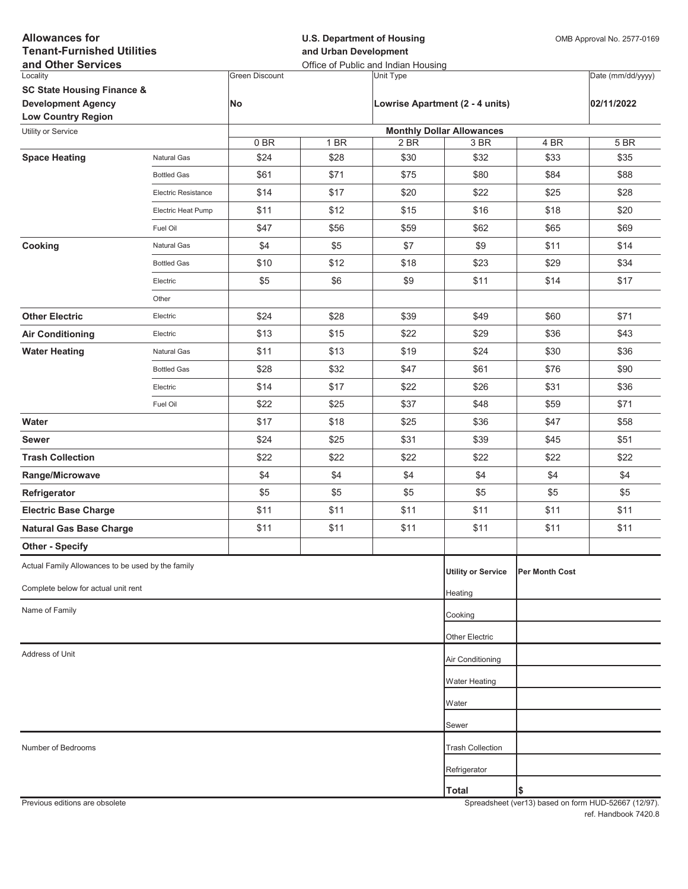| <b>Allowances for</b><br><b>Tenant-Furnished Utilities</b><br>and Other Services |                     |                       | <b>U.S. Department of Housing</b><br>and Urban Development<br>Office of Public and Indian Housing |           |                                          |                       | OMB Approval No. 2577-0169 |  |
|----------------------------------------------------------------------------------|---------------------|-----------------------|---------------------------------------------------------------------------------------------------|-----------|------------------------------------------|-----------------------|----------------------------|--|
| Locality                                                                         |                     | <b>Green Discount</b> |                                                                                                   | Unit Type |                                          |                       | Date (mm/dd/yyyy)          |  |
| <b>SC State Housing Finance &amp;</b>                                            |                     |                       |                                                                                                   |           |                                          |                       |                            |  |
| <b>Development Agency</b>                                                        |                     | No                    |                                                                                                   |           | Lowrise Apartment (2 - 4 units)          |                       | 02/11/2022                 |  |
| <b>Low Country Region</b>                                                        |                     |                       |                                                                                                   |           |                                          |                       |                            |  |
| Utility or Service                                                               |                     | 0BR                   | 1 BR                                                                                              | 2 BR      | <b>Monthly Dollar Allowances</b><br>3 BR | $\overline{4}$ BR     | 5 BR                       |  |
| <b>Space Heating</b>                                                             | Natural Gas         | \$24                  | \$28                                                                                              | \$30      | \$32                                     | \$33                  | \$35                       |  |
|                                                                                  | <b>Bottled Gas</b>  | \$61                  | \$71                                                                                              | \$75      | \$80                                     | \$84                  | \$88                       |  |
|                                                                                  | Electric Resistance | \$14                  | \$17                                                                                              | \$20      | \$22                                     | \$25                  | \$28                       |  |
|                                                                                  | Electric Heat Pump  | \$11                  | \$12                                                                                              | \$15      | \$16                                     | \$18                  | \$20                       |  |
|                                                                                  | Fuel Oil            | \$47                  | \$56                                                                                              | \$59      | \$62                                     | \$65                  | \$69                       |  |
| Cooking                                                                          | Natural Gas         | \$4                   | \$5                                                                                               | \$7       | \$9                                      | \$11                  | \$14                       |  |
|                                                                                  | <b>Bottled Gas</b>  | \$10                  | \$12                                                                                              | \$18      | \$23                                     | \$29                  | \$34                       |  |
|                                                                                  | Electric            | \$5                   | \$6                                                                                               | \$9       | \$11                                     | \$14                  | \$17                       |  |
|                                                                                  | Other               |                       |                                                                                                   |           |                                          |                       |                            |  |
| <b>Other Electric</b>                                                            | Electric            | \$24                  | \$28                                                                                              | \$39      | \$49                                     | \$60                  | \$71                       |  |
| <b>Air Conditioning</b>                                                          | Electric            | \$13                  | \$15                                                                                              | \$22      | \$29                                     | \$36                  | \$43                       |  |
| <b>Water Heating</b>                                                             | Natural Gas         | \$11                  | \$13                                                                                              | \$19      | \$24                                     | \$30                  | \$36                       |  |
|                                                                                  | <b>Bottled Gas</b>  | \$28                  | \$32                                                                                              | \$47      | \$61                                     | \$76                  | \$90                       |  |
|                                                                                  | Electric            | \$14                  | \$17                                                                                              | \$22      | \$26                                     | \$31                  | \$36                       |  |
|                                                                                  | Fuel Oil            | \$22                  | \$25                                                                                              | \$37      | \$48                                     | \$59                  | \$71                       |  |
| Water                                                                            |                     | \$17                  | \$18                                                                                              | \$25      | \$36                                     | \$47                  | \$58                       |  |
| <b>Sewer</b>                                                                     |                     | \$24                  | \$25                                                                                              | \$31      | \$39                                     | \$45                  | \$51                       |  |
| <b>Trash Collection</b>                                                          |                     | \$22                  | \$22                                                                                              | \$22      | \$22                                     | \$22                  | \$22                       |  |
| Range/Microwave                                                                  |                     | \$4                   | \$4                                                                                               | \$4       | \$4                                      | \$4                   | \$4                        |  |
| Refrigerator                                                                     |                     | \$5                   | \$5                                                                                               | \$5       | \$5                                      | \$5                   | \$5                        |  |
| <b>Electric Base Charge</b>                                                      |                     | \$11                  | \$11                                                                                              | \$11      | \$11                                     | \$11                  | \$11                       |  |
| <b>Natural Gas Base Charge</b>                                                   |                     | \$11                  | \$11                                                                                              | \$11      | \$11                                     | \$11                  | \$11                       |  |
| <b>Other - Specify</b>                                                           |                     |                       |                                                                                                   |           |                                          |                       |                            |  |
| Actual Family Allowances to be used by the family                                |                     |                       |                                                                                                   |           | <b>Utility or Service</b>                | <b>Per Month Cost</b> |                            |  |
| Complete below for actual unit rent                                              |                     |                       |                                                                                                   |           | Heating                                  |                       |                            |  |
| Name of Family                                                                   |                     |                       |                                                                                                   |           | Cooking                                  |                       |                            |  |
|                                                                                  |                     |                       |                                                                                                   |           | Other Electric                           |                       |                            |  |
| Address of Unit                                                                  |                     |                       |                                                                                                   |           | Air Conditioning                         |                       |                            |  |
|                                                                                  |                     |                       |                                                                                                   |           |                                          |                       |                            |  |
|                                                                                  |                     |                       |                                                                                                   |           | Water Heating                            |                       |                            |  |
|                                                                                  |                     |                       |                                                                                                   |           | Water                                    |                       |                            |  |
|                                                                                  |                     |                       |                                                                                                   |           | Sewer                                    |                       |                            |  |
| Number of Bedrooms                                                               |                     |                       |                                                                                                   |           | <b>Trash Collection</b>                  |                       |                            |  |
|                                                                                  |                     |                       |                                                                                                   |           | Refrigerator                             |                       |                            |  |
|                                                                                  |                     |                       |                                                                                                   |           | Total                                    | \$                    |                            |  |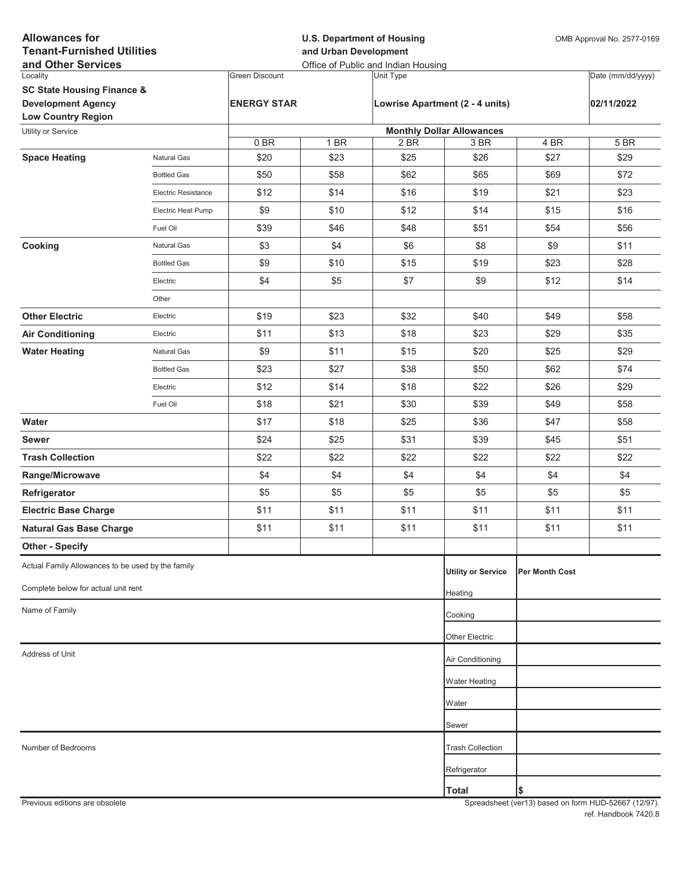| <b>Allowances for</b><br><b>Tenant-Furnished Utilities</b><br>and Other Services |                            |                       | <b>U.S. Department of Housing</b><br>and Urban Development<br>Office of Public and Indian Housing |                                 |                                  |                | OMB Approval No. 2577-0169 |  |
|----------------------------------------------------------------------------------|----------------------------|-----------------------|---------------------------------------------------------------------------------------------------|---------------------------------|----------------------------------|----------------|----------------------------|--|
| Locality                                                                         |                            | <b>Green Discount</b> |                                                                                                   | Unit Type                       |                                  |                | Date (mm/dd/yyyy)          |  |
| <b>SC State Housing Finance &amp;</b>                                            |                            |                       |                                                                                                   |                                 |                                  |                |                            |  |
| <b>Development Agency</b><br><b>Low Country Region</b>                           |                            | <b>ENERGY STAR</b>    |                                                                                                   | Lowrise Apartment (2 - 4 units) |                                  |                | 02/11/2022                 |  |
| Utility or Service                                                               |                            |                       |                                                                                                   |                                 | <b>Monthly Dollar Allowances</b> |                |                            |  |
|                                                                                  |                            | 0BR                   | 1 BR                                                                                              | 2 BR                            | 3 BR                             | 4 BR           | 5 BR                       |  |
| <b>Space Heating</b>                                                             | Natural Gas                | \$20                  | \$23                                                                                              | \$25                            | \$26                             | \$27           | \$29                       |  |
|                                                                                  | <b>Bottled Gas</b>         | \$50                  | \$58                                                                                              | \$62                            | \$65                             | \$69           | \$72                       |  |
|                                                                                  | <b>Electric Resistance</b> | \$12                  | \$14                                                                                              | \$16                            | \$19                             | \$21           | \$23                       |  |
|                                                                                  | Electric Heat Pump         | \$9                   | \$10                                                                                              | \$12                            | \$14                             | \$15           | \$16                       |  |
|                                                                                  | Fuel Oil                   | \$39                  | \$46                                                                                              | \$48                            | \$51                             | \$54           | \$56                       |  |
| Cooking                                                                          | Natural Gas                | \$3                   | \$4                                                                                               | \$6                             | \$8                              | \$9            | \$11                       |  |
|                                                                                  | <b>Bottled Gas</b>         | \$9                   | \$10                                                                                              | \$15                            | \$19                             | \$23           | \$28                       |  |
|                                                                                  | Electric                   | \$4                   | \$5                                                                                               | \$7                             | \$9                              | \$12           | \$14                       |  |
|                                                                                  | Other                      |                       |                                                                                                   |                                 |                                  |                |                            |  |
| <b>Other Electric</b>                                                            | Electric                   | \$19                  | \$23                                                                                              | \$32                            | \$40                             | \$49           | \$58                       |  |
| <b>Air Conditioning</b>                                                          | Electric                   | \$11                  | \$13                                                                                              | \$18                            | \$23                             | \$29           | \$35                       |  |
| <b>Water Heating</b>                                                             | Natural Gas                | \$9                   | \$11                                                                                              | \$15                            | \$20                             | \$25           | \$29                       |  |
|                                                                                  | <b>Bottled Gas</b>         | \$23                  | \$27                                                                                              | \$38                            | \$50                             | \$62           | \$74                       |  |
|                                                                                  | Electric                   | \$12                  | \$14                                                                                              | \$18                            | \$22                             | \$26           | \$29                       |  |
|                                                                                  | Fuel Oil                   | \$18                  | \$21                                                                                              | \$30                            | \$39                             | \$49           | \$58                       |  |
| Water                                                                            |                            | \$17                  | \$18                                                                                              | \$25                            | \$36                             | \$47           | \$58                       |  |
| <b>Sewer</b>                                                                     |                            | \$24                  | \$25                                                                                              | \$31                            | \$39                             | \$45           | \$51                       |  |
| <b>Trash Collection</b>                                                          |                            | \$22                  | \$22                                                                                              | \$22                            | \$22                             | \$22           | \$22                       |  |
| Range/Microwave                                                                  |                            | \$4                   | \$4                                                                                               | \$4                             | \$4                              | \$4            | \$4                        |  |
| Refrigerator                                                                     |                            | \$5                   | \$5                                                                                               | \$5                             | \$5                              | \$5            | \$5                        |  |
| <b>Electric Base Charge</b>                                                      |                            | \$11                  | \$11                                                                                              | \$11                            | \$11                             | \$11           | \$11                       |  |
| <b>Natural Gas Base Charge</b>                                                   |                            | \$11                  | \$11                                                                                              | \$11                            | \$11                             | \$11           | \$11                       |  |
| <b>Other - Specify</b>                                                           |                            |                       |                                                                                                   |                                 |                                  |                |                            |  |
| Actual Family Allowances to be used by the family                                |                            |                       |                                                                                                   |                                 | <b>Utility or Service</b>        | Per Month Cost |                            |  |
| Complete below for actual unit rent                                              |                            |                       |                                                                                                   |                                 | Heating                          |                |                            |  |
| Name of Family                                                                   |                            |                       |                                                                                                   |                                 | Cooking                          |                |                            |  |
|                                                                                  |                            |                       |                                                                                                   |                                 | Other Electric                   |                |                            |  |
| Address of Unit                                                                  |                            |                       |                                                                                                   |                                 | Air Conditioning                 |                |                            |  |
|                                                                                  |                            |                       |                                                                                                   |                                 |                                  |                |                            |  |
|                                                                                  |                            |                       |                                                                                                   |                                 | <b>Water Heating</b>             |                |                            |  |
|                                                                                  |                            |                       |                                                                                                   |                                 | Water                            |                |                            |  |
|                                                                                  |                            |                       |                                                                                                   |                                 | Sewer                            |                |                            |  |
| Number of Bedrooms                                                               |                            |                       |                                                                                                   |                                 | <b>Trash Collection</b>          |                |                            |  |
|                                                                                  |                            |                       |                                                                                                   |                                 | Refrigerator                     |                |                            |  |
|                                                                                  |                            |                       |                                                                                                   |                                 | <b>Total</b>                     | \$             |                            |  |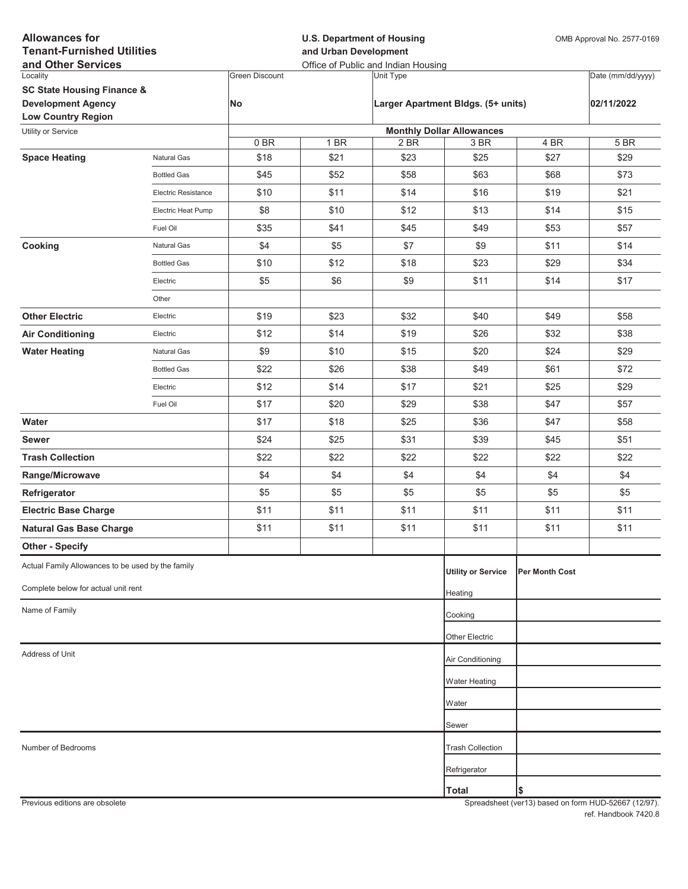| <b>Allowances for</b><br><b>Tenant-Furnished Utilities</b><br>and Other Services |                     |                       | <b>U.S. Department of Housing</b><br>and Urban Development<br>Office of Public and Indian Housing |           |                                          |                       | OMB Approval No. 2577-0169 |  |
|----------------------------------------------------------------------------------|---------------------|-----------------------|---------------------------------------------------------------------------------------------------|-----------|------------------------------------------|-----------------------|----------------------------|--|
| Locality                                                                         |                     | <b>Green Discount</b> |                                                                                                   | Unit Type |                                          |                       | Date (mm/dd/yyyy)          |  |
| <b>SC State Housing Finance &amp;</b>                                            |                     |                       |                                                                                                   |           |                                          |                       |                            |  |
| <b>Development Agency</b>                                                        |                     | No                    |                                                                                                   |           | Larger Apartment Bldgs. (5+ units)       |                       | 02/11/2022                 |  |
| <b>Low Country Region</b>                                                        |                     |                       |                                                                                                   |           |                                          |                       |                            |  |
| Utility or Service                                                               |                     | 0BR                   | 1 BR                                                                                              | 2 BR      | <b>Monthly Dollar Allowances</b><br>3 BR | $\overline{4}$ BR     | 5 BR                       |  |
| <b>Space Heating</b>                                                             | Natural Gas         | \$18                  | \$21                                                                                              | \$23      | \$25                                     | \$27                  | \$29                       |  |
|                                                                                  | <b>Bottled Gas</b>  | \$45                  | \$52                                                                                              | \$58      | \$63                                     | \$68                  | \$73                       |  |
|                                                                                  | Electric Resistance | \$10                  | \$11                                                                                              | \$14      | \$16                                     | \$19                  | \$21                       |  |
|                                                                                  | Electric Heat Pump  | \$8                   | \$10                                                                                              | \$12      | \$13                                     | \$14                  | \$15                       |  |
|                                                                                  | Fuel Oil            | \$35                  | \$41                                                                                              | \$45      | \$49                                     | \$53                  | \$57                       |  |
| Cooking                                                                          | Natural Gas         | \$4                   | \$5                                                                                               | \$7       | \$9                                      | \$11                  | \$14                       |  |
|                                                                                  | <b>Bottled Gas</b>  | \$10                  | \$12                                                                                              | \$18      | \$23                                     | \$29                  | \$34                       |  |
|                                                                                  | Electric            | \$5                   | \$6                                                                                               | \$9       | \$11                                     | \$14                  | \$17                       |  |
|                                                                                  | Other               |                       |                                                                                                   |           |                                          |                       |                            |  |
| <b>Other Electric</b>                                                            | Electric            | \$19                  | \$23                                                                                              | \$32      | \$40                                     | \$49                  | \$58                       |  |
| <b>Air Conditioning</b>                                                          | Electric            | \$12                  | \$14                                                                                              | \$19      | \$26                                     | \$32                  | \$38                       |  |
| <b>Water Heating</b>                                                             | Natural Gas         | \$9                   | \$10                                                                                              | \$15      | \$20                                     | \$24                  | \$29                       |  |
|                                                                                  | <b>Bottled Gas</b>  | \$22                  | \$26                                                                                              | \$38      | \$49                                     | \$61                  | \$72                       |  |
|                                                                                  | Electric            | \$12                  | \$14                                                                                              | \$17      | \$21                                     | \$25                  | \$29                       |  |
|                                                                                  | Fuel Oil            | \$17                  | \$20                                                                                              | \$29      | \$38                                     | \$47                  | \$57                       |  |
| Water                                                                            |                     | \$17                  | \$18                                                                                              | \$25      | \$36                                     | \$47                  | \$58                       |  |
| <b>Sewer</b>                                                                     |                     | \$24                  | \$25                                                                                              | \$31      | \$39                                     | \$45                  | \$51                       |  |
| <b>Trash Collection</b>                                                          |                     | \$22                  | \$22                                                                                              | \$22      | \$22                                     | \$22                  | \$22                       |  |
| Range/Microwave                                                                  |                     | \$4                   | \$4                                                                                               | \$4       | \$4                                      | \$4                   | \$4                        |  |
| Refrigerator                                                                     |                     | \$5                   | \$5                                                                                               | \$5       | \$5                                      | \$5                   | \$5                        |  |
| <b>Electric Base Charge</b>                                                      |                     | \$11                  | \$11                                                                                              | \$11      | \$11                                     | \$11                  | \$11                       |  |
| <b>Natural Gas Base Charge</b>                                                   |                     | \$11                  | \$11                                                                                              | \$11      | \$11                                     | \$11                  | \$11                       |  |
| <b>Other - Specify</b>                                                           |                     |                       |                                                                                                   |           |                                          |                       |                            |  |
| Actual Family Allowances to be used by the family                                |                     |                       |                                                                                                   |           | <b>Utility or Service</b>                | <b>Per Month Cost</b> |                            |  |
| Complete below for actual unit rent                                              |                     |                       |                                                                                                   |           | Heating                                  |                       |                            |  |
| Name of Family                                                                   |                     |                       |                                                                                                   |           | Cooking                                  |                       |                            |  |
|                                                                                  |                     |                       |                                                                                                   |           |                                          |                       |                            |  |
| Address of Unit                                                                  |                     |                       |                                                                                                   |           | Other Electric                           |                       |                            |  |
|                                                                                  |                     |                       |                                                                                                   |           | Air Conditioning                         |                       |                            |  |
|                                                                                  |                     |                       |                                                                                                   |           | Water Heating                            |                       |                            |  |
|                                                                                  |                     |                       |                                                                                                   |           | Water                                    |                       |                            |  |
|                                                                                  |                     |                       |                                                                                                   |           | Sewer                                    |                       |                            |  |
| Number of Bedrooms                                                               |                     |                       |                                                                                                   |           | <b>Trash Collection</b>                  |                       |                            |  |
|                                                                                  |                     |                       |                                                                                                   |           | Refrigerator                             |                       |                            |  |
|                                                                                  |                     |                       |                                                                                                   |           | Total                                    | \$                    |                            |  |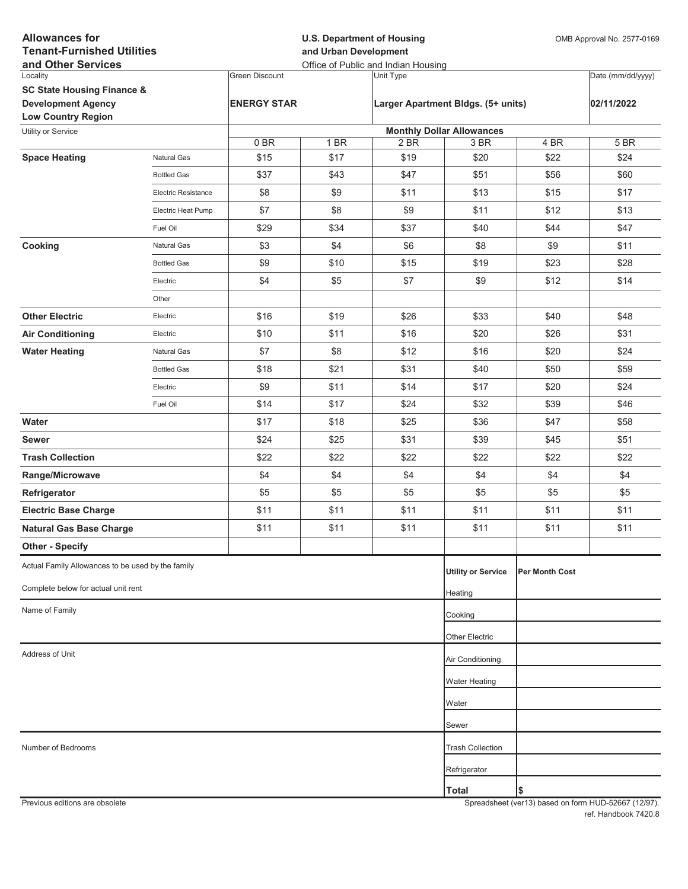| <b>Allowances for</b><br><b>Tenant-Furnished Utilities</b><br>and Other Services |                            |                       | <b>U.S. Department of Housing</b><br>and Urban Development<br>Office of Public and Indian Housing |           |                                          |                       | OMB Approval No. 2577-0169 |  |
|----------------------------------------------------------------------------------|----------------------------|-----------------------|---------------------------------------------------------------------------------------------------|-----------|------------------------------------------|-----------------------|----------------------------|--|
| Locality                                                                         |                            | <b>Green Discount</b> |                                                                                                   | Unit Type |                                          |                       | Date (mm/dd/yyyy)          |  |
| <b>SC State Housing Finance &amp;</b>                                            |                            |                       |                                                                                                   |           |                                          |                       |                            |  |
| <b>Development Agency</b>                                                        |                            | <b>ENERGY STAR</b>    |                                                                                                   |           | Larger Apartment Bldgs. (5+ units)       |                       | 02/11/2022                 |  |
| <b>Low Country Region</b>                                                        |                            |                       |                                                                                                   |           |                                          |                       |                            |  |
| Utility or Service                                                               |                            | 0BR                   | 1 BR                                                                                              | 2 BR      | <b>Monthly Dollar Allowances</b><br>3 BR | 4 BR                  | 5 BR                       |  |
| <b>Space Heating</b>                                                             | Natural Gas                | \$15                  | \$17                                                                                              | \$19      | \$20                                     | \$22                  | \$24                       |  |
|                                                                                  | <b>Bottled Gas</b>         | \$37                  | \$43                                                                                              | \$47      | \$51                                     | \$56                  | \$60                       |  |
|                                                                                  | <b>Electric Resistance</b> | \$8                   | \$9                                                                                               | \$11      | \$13                                     | \$15                  | \$17                       |  |
|                                                                                  | Electric Heat Pump         | \$7                   | \$8                                                                                               | \$9       | \$11                                     | \$12                  | \$13                       |  |
|                                                                                  | Fuel Oil                   | \$29                  | \$34                                                                                              | \$37      | \$40                                     | \$44                  | \$47                       |  |
| Cooking                                                                          | Natural Gas                | \$3                   | \$4                                                                                               | \$6       | \$8                                      | \$9                   | \$11                       |  |
|                                                                                  | <b>Bottled Gas</b>         | \$9                   | \$10                                                                                              | \$15      | \$19                                     | \$23                  | \$28                       |  |
|                                                                                  | Electric                   | \$4                   | \$5                                                                                               | \$7       | \$9                                      | \$12                  | \$14                       |  |
|                                                                                  | Other                      |                       |                                                                                                   |           |                                          |                       |                            |  |
| <b>Other Electric</b>                                                            | Electric                   | \$16                  | \$19                                                                                              | \$26      | \$33                                     | \$40                  | \$48                       |  |
| <b>Air Conditioning</b>                                                          | Electric                   | \$10                  | \$11                                                                                              | \$16      | \$20                                     | \$26                  | \$31                       |  |
| <b>Water Heating</b>                                                             | Natural Gas                | \$7                   | \$8                                                                                               | \$12      | \$16                                     | \$20                  | \$24                       |  |
|                                                                                  | <b>Bottled Gas</b>         | \$18                  | \$21                                                                                              | \$31      | \$40                                     | \$50                  | \$59                       |  |
|                                                                                  | Electric                   | \$9                   | \$11                                                                                              | \$14      | \$17                                     | \$20                  | \$24                       |  |
|                                                                                  | Fuel Oil                   | \$14                  | \$17                                                                                              | \$24      | \$32                                     | \$39                  | \$46                       |  |
| Water                                                                            |                            | \$17                  | \$18                                                                                              | \$25      | \$36                                     | \$47                  | \$58                       |  |
| <b>Sewer</b>                                                                     |                            | \$24                  | \$25                                                                                              | \$31      | \$39                                     | \$45                  | \$51                       |  |
| <b>Trash Collection</b>                                                          |                            | \$22                  | \$22                                                                                              | \$22      | \$22                                     | \$22                  | \$22                       |  |
| Range/Microwave                                                                  |                            | \$4                   | \$4                                                                                               | \$4       | \$4                                      | \$4                   | \$4                        |  |
| Refrigerator                                                                     |                            | \$5                   | \$5                                                                                               | \$5       | \$5                                      | \$5                   | \$5                        |  |
| <b>Electric Base Charge</b>                                                      |                            | \$11                  | \$11                                                                                              | \$11      | \$11                                     | \$11                  | \$11                       |  |
| <b>Natural Gas Base Charge</b>                                                   |                            | \$11                  | \$11                                                                                              | \$11      | \$11                                     | \$11                  | \$11                       |  |
| <b>Other - Specify</b>                                                           |                            |                       |                                                                                                   |           |                                          |                       |                            |  |
| Actual Family Allowances to be used by the family                                |                            |                       |                                                                                                   |           | <b>Utility or Service</b>                | <b>Per Month Cost</b> |                            |  |
| Complete below for actual unit rent                                              |                            |                       |                                                                                                   |           | Heating                                  |                       |                            |  |
| Name of Family                                                                   |                            |                       |                                                                                                   |           | Cooking                                  |                       |                            |  |
|                                                                                  |                            |                       |                                                                                                   |           | Other Electric                           |                       |                            |  |
| Address of Unit                                                                  |                            |                       |                                                                                                   |           | Air Conditioning                         |                       |                            |  |
|                                                                                  |                            |                       |                                                                                                   |           | <b>Water Heating</b>                     |                       |                            |  |
|                                                                                  |                            |                       |                                                                                                   |           | Water                                    |                       |                            |  |
|                                                                                  |                            |                       |                                                                                                   |           |                                          |                       |                            |  |
| Number of Bedrooms                                                               |                            |                       |                                                                                                   |           | Sewer                                    |                       |                            |  |
|                                                                                  |                            |                       |                                                                                                   |           | <b>Trash Collection</b>                  |                       |                            |  |
|                                                                                  |                            |                       |                                                                                                   |           | Refrigerator                             |                       |                            |  |
|                                                                                  |                            |                       |                                                                                                   |           | <b>Total</b>                             | \$                    |                            |  |